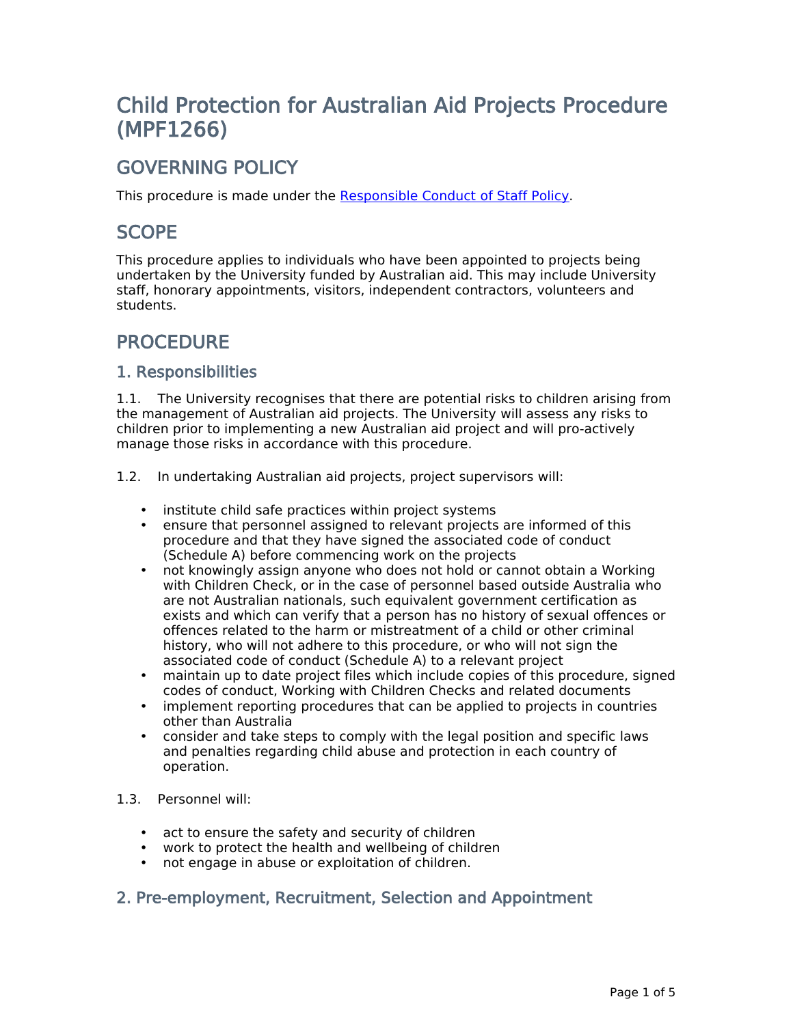# **Child Protection for Australian Aid Projects Procedure (MPF1266)**

# **GOVERNING POLICY**

This procedure is made under the [Responsible](file:/usr/local/tomcat/MPF1160) [Conduct](file:/usr/local/tomcat/MPF1160) [of](file:/usr/local/tomcat/MPF1160) [Staff](file:/usr/local/tomcat/MPF1160) [Policy.](file:/usr/local/tomcat/MPF1160)

# **SCOPE**

This procedure applies to individuals who have been appointed to projects being undertaken by the University funded by Australian aid. This may include University staff, honorary appointments, visitors, independent contractors, volunteers and students.

# **PROCEDURE**

### **1. Responsibilities**

1.1. The University recognises that there are potential risks to children arising from the management of Australian aid projects. The University will assess any risks to children prior to implementing a new Australian aid project and will pro-actively manage those risks in accordance with this procedure.

- 1.2. In undertaking Australian aid projects, project supervisors will:
	- institute child safe practices within project systems
	- ensure that personnel assigned to relevant projects are informed of this procedure and that they have signed the associated code of conduct (Schedule A) before commencing work on the projects
	- not knowingly assign anyone who does not hold or cannot obtain a Working with Children Check, or in the case of personnel based outside Australia who are not Australian nationals, such equivalent government certification as exists and which can verify that a person has no history of sexual offences or offences related to the harm or mistreatment of a child or other criminal history, who will not adhere to this procedure, or who will not sign the associated code of conduct (Schedule A) to a relevant project
	- maintain up to date project files which include copies of this procedure, signed codes of conduct, Working with Children Checks and related documents
	- implement reporting procedures that can be applied to projects in countries other than Australia
	- consider and take steps to comply with the legal position and specific laws and penalties regarding child abuse and protection in each country of operation.
- 1.3. Personnel will:
	- act to ensure the safety and security of children
	- work to protect the health and wellbeing of children
	- not engage in abuse or exploitation of children.

#### **2. Pre-employment, Recruitment, Selection and Appointment**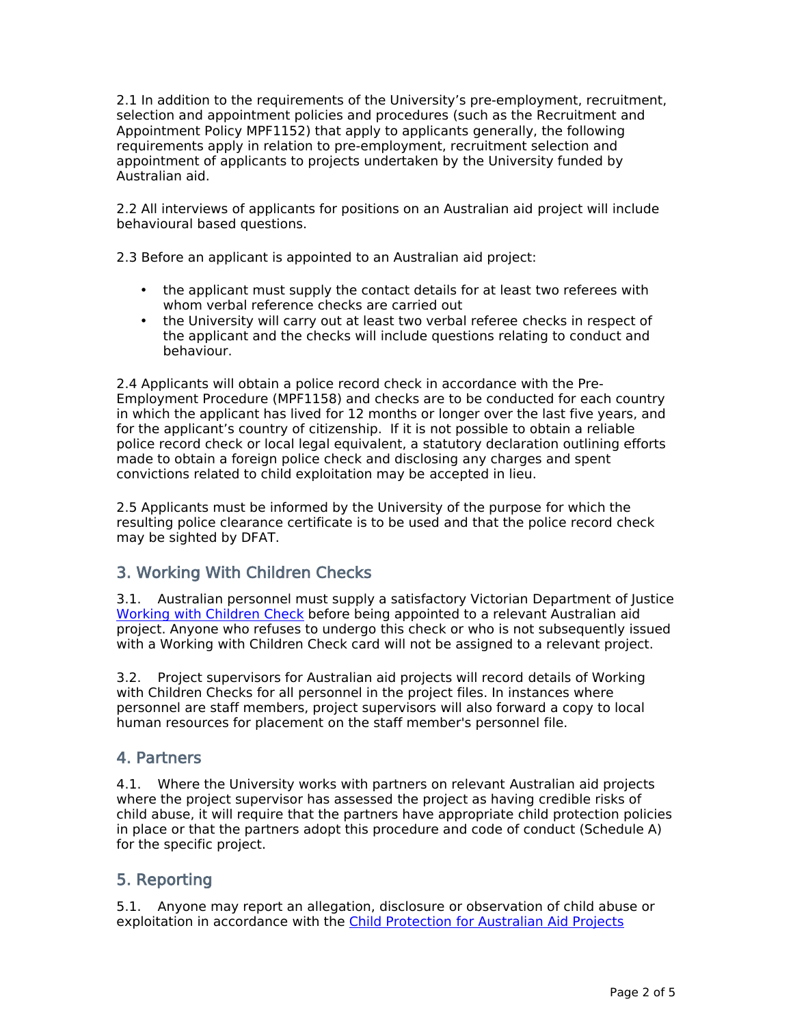2.1 In addition to the requirements of the University's pre-employment, recruitment, selection and appointment policies and procedures (such as the Recruitment and Appointment Policy MPF1152) that apply to applicants generally, the following requirements apply in relation to pre-employment, recruitment selection and appointment of applicants to projects undertaken by the University funded by Australian aid.

2.2 All interviews of applicants for positions on an Australian aid project will include behavioural based questions.

2.3 Before an applicant is appointed to an Australian aid project:

- the applicant must supply the contact details for at least two referees with whom verbal reference checks are carried out
- the University will carry out at least two verbal referee checks in respect of the applicant and the checks will include questions relating to conduct and behaviour.

2.4 Applicants will obtain a police record check in accordance with the Pre-Employment Procedure (MPF1158) and checks are to be conducted for each country in which the applicant has lived for 12 months or longer over the last five years, and for the applicant's country of citizenship. If it is not possible to obtain a reliable police record check or local legal equivalent, a statutory declaration outlining efforts made to obtain a foreign police check and disclosing any charges and spent convictions related to child exploitation may be accepted in lieu.

2.5 Applicants must be informed by the University of the purpose for which the resulting police clearance certificate is to be used and that the police record check may be sighted by DFAT.

### **3. Working With Children Checks**

3.1. Australian personnel must supply a satisfactory Victorian Department of Justice [Working](http://www.workingwithchildren.vic.gov.au/) [with](http://www.workingwithchildren.vic.gov.au/) [Children](http://www.workingwithchildren.vic.gov.au/) [Check](http://www.workingwithchildren.vic.gov.au/) before being appointed to a relevant Australian aid project. Anyone who refuses to undergo this check or who is not subsequently issued with a Working with Children Check card will not be assigned to a relevant project.

3.2. Project supervisors for Australian aid projects will record details of Working with Children Checks for all personnel in the project files. In instances where personnel are staff members, project supervisors will also forward a copy to local human resources for placement on the staff member's personnel file.

#### **4. Partners**

4.1. Where the University works with partners on relevant Australian aid projects where the project supervisor has assessed the project as having credible risks of child abuse, it will require that the partners have appropriate child protection policies in place or that the partners adopt this procedure and code of conduct (Schedule A) for the specific project.

### **5. Reporting**

5.1. Anyone may report an allegation, disclosure or observation of child abuse or exploitation in accordance with the [Child](http://hr.unimelb.edu.au/__data/assets/pdf_file/0003/971301/CPAAP_Guidelines.pdf) [Protection](http://hr.unimelb.edu.au/__data/assets/pdf_file/0003/971301/CPAAP_Guidelines.pdf) [for](http://hr.unimelb.edu.au/__data/assets/pdf_file/0003/971301/CPAAP_Guidelines.pdf) [Australian](http://hr.unimelb.edu.au/__data/assets/pdf_file/0003/971301/CPAAP_Guidelines.pdf) [Aid](http://hr.unimelb.edu.au/__data/assets/pdf_file/0003/971301/CPAAP_Guidelines.pdf) [Projects](http://hr.unimelb.edu.au/__data/assets/pdf_file/0003/971301/CPAAP_Guidelines.pdf)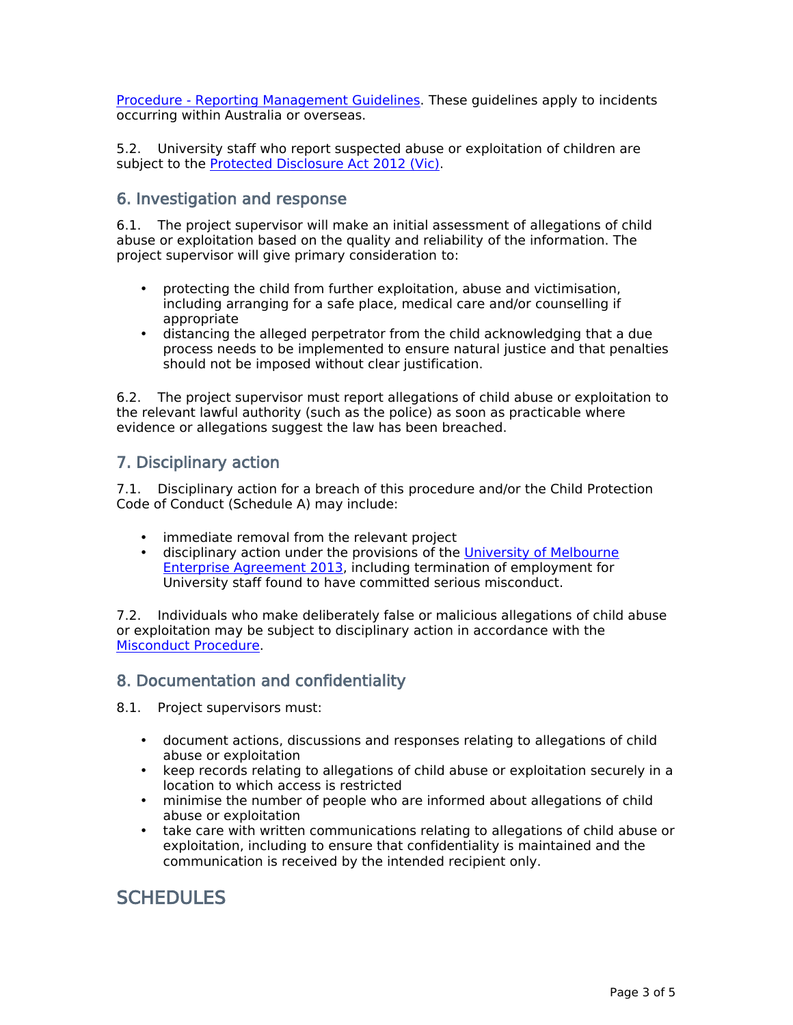[Procedure](http://hr.unimelb.edu.au/__data/assets/pdf_file/0003/971301/CPAAP_Guidelines.pdf) [-](http://hr.unimelb.edu.au/__data/assets/pdf_file/0003/971301/CPAAP_Guidelines.pdf) [Reporting](http://hr.unimelb.edu.au/__data/assets/pdf_file/0003/971301/CPAAP_Guidelines.pdf) [Management](http://hr.unimelb.edu.au/__data/assets/pdf_file/0003/971301/CPAAP_Guidelines.pdf) [Guidelines.](http://hr.unimelb.edu.au/__data/assets/pdf_file/0003/971301/CPAAP_Guidelines.pdf) These guidelines apply to incidents occurring within Australia or overseas.

5.2. University staff who report suspected abuse or exploitation of children are subject to the [Protected](http://www.austlii.edu.au/au/legis/vic/num_act/pda201285o2012279/) [Disclosure](http://www.austlii.edu.au/au/legis/vic/num_act/pda201285o2012279/) [Act](http://www.austlii.edu.au/au/legis/vic/num_act/pda201285o2012279/) [2012](http://www.austlii.edu.au/au/legis/vic/num_act/pda201285o2012279/) [\(Vic\).](http://www.austlii.edu.au/au/legis/vic/num_act/pda201285o2012279/)

#### **6. Investigation and response**

6.1. The project supervisor will make an initial assessment of allegations of child abuse or exploitation based on the quality and reliability of the information. The project supervisor will give primary consideration to:

- protecting the child from further exploitation, abuse and victimisation, including arranging for a safe place, medical care and/or counselling if appropriate
- distancing the alleged perpetrator from the child acknowledging that a due process needs to be implemented to ensure natural justice and that penalties should not be imposed without clear justification.

6.2. The project supervisor must report allegations of child abuse or exploitation to the relevant lawful authority (such as the police) as soon as practicable where evidence or allegations suggest the law has been breached.

#### **7. Disciplinary action**

7.1. Disciplinary action for a breach of this procedure and/or the Child Protection Code of Conduct (Schedule A) may include:

- immediate removal from the relevant project
- disciplinary action under the provisions of the [University](http://hr.unimelb.edu.au/__data/assets/pdf_file/0005/909923/Enterprise_Agreement_2013_web.pdf) [of](http://hr.unimelb.edu.au/__data/assets/pdf_file/0005/909923/Enterprise_Agreement_2013_web.pdf) [Melbourne](http://hr.unimelb.edu.au/__data/assets/pdf_file/0005/909923/Enterprise_Agreement_2013_web.pdf) [Enterprise](http://hr.unimelb.edu.au/__data/assets/pdf_file/0005/909923/Enterprise_Agreement_2013_web.pdf) [Agreement](http://hr.unimelb.edu.au/__data/assets/pdf_file/0005/909923/Enterprise_Agreement_2013_web.pdf) [2013,](http://hr.unimelb.edu.au/__data/assets/pdf_file/0005/909923/Enterprise_Agreement_2013_web.pdf) including termination of employment for University staff found to have committed serious misconduct.

7.2. Individuals who make deliberately false or malicious allegations of child abuse or exploitation may be subject to disciplinary action in accordance with the [Misconduct](file:/usr/local/tomcat/MPF1164) [Procedure.](file:/usr/local/tomcat/MPF1164)

#### **8. Documentation and confidentiality**

8.1. Project supervisors must:

- document actions, discussions and responses relating to allegations of child abuse or exploitation
- keep records relating to allegations of child abuse or exploitation securely in a location to which access is restricted
- minimise the number of people who are informed about allegations of child abuse or exploitation
- take care with written communications relating to allegations of child abuse or exploitation, including to ensure that confidentiality is maintained and the communication is received by the intended recipient only.

### **SCHEDULES**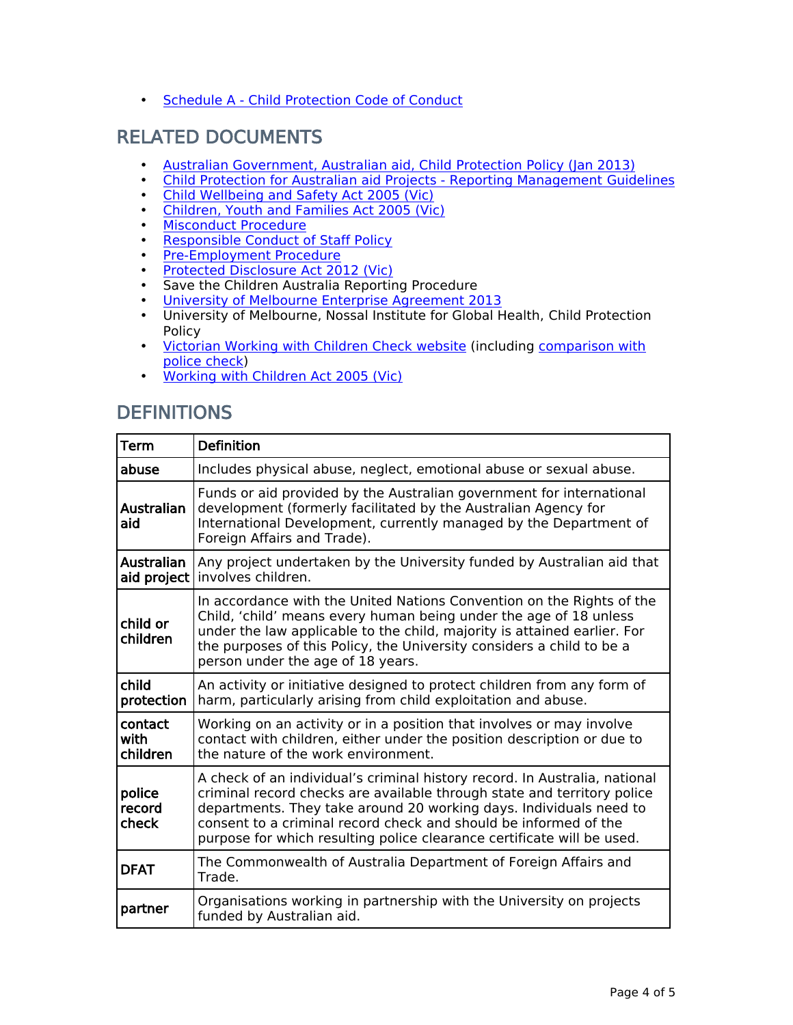• [Schedule](http://www.policy.unimelb.edu.au/schedules/MPF1266-ScheduleA.pdf) [A](http://www.policy.unimelb.edu.au/schedules/MPF1266-ScheduleA.pdf) [-](http://www.policy.unimelb.edu.au/schedules/MPF1266-ScheduleA.pdf) [Child](http://www.policy.unimelb.edu.au/schedules/MPF1266-ScheduleA.pdf) [Protection](http://www.policy.unimelb.edu.au/schedules/MPF1266-ScheduleA.pdf) [Code](http://www.policy.unimelb.edu.au/schedules/MPF1266-ScheduleA.pdf) [of](http://www.policy.unimelb.edu.au/schedules/MPF1266-ScheduleA.pdf) [Conduct](http://www.policy.unimelb.edu.au/schedules/MPF1266-ScheduleA.pdf)

# **RELATED DOCUMENTS**

- [Australian](http://www.ausaid.gov.au/Publications/Pages/child-protection-policy.aspx) [Government,](http://www.ausaid.gov.au/Publications/Pages/child-protection-policy.aspx) Australian [aid,](http://www.ausaid.gov.au/Publications/Pages/child-protection-policy.aspx) [Child](http://www.ausaid.gov.au/Publications/Pages/child-protection-policy.aspx) [Protection](http://www.ausaid.gov.au/Publications/Pages/child-protection-policy.aspx) [Policy](http://www.ausaid.gov.au/Publications/Pages/child-protection-policy.aspx) [\(Jan](http://www.ausaid.gov.au/Publications/Pages/child-protection-policy.aspx) [2013\)](http://www.ausaid.gov.au/Publications/Pages/child-protection-policy.aspx)
- [Child](http://hr.unimelb.edu.au/__data/assets/pdf_file/0003/971301/CPAAP_Guidelines.pdf) [Protection](http://hr.unimelb.edu.au/__data/assets/pdf_file/0003/971301/CPAAP_Guidelines.pdf) [for](http://hr.unimelb.edu.au/__data/assets/pdf_file/0003/971301/CPAAP_Guidelines.pdf) [Australian](http://hr.unimelb.edu.au/__data/assets/pdf_file/0003/971301/CPAAP_Guidelines.pdf) [aid](http://hr.unimelb.edu.au/__data/assets/pdf_file/0003/971301/CPAAP_Guidelines.pdf) [Projects](http://hr.unimelb.edu.au/__data/assets/pdf_file/0003/971301/CPAAP_Guidelines.pdf) [-](http://hr.unimelb.edu.au/__data/assets/pdf_file/0003/971301/CPAAP_Guidelines.pdf) [Reporting](http://hr.unimelb.edu.au/__data/assets/pdf_file/0003/971301/CPAAP_Guidelines.pdf) [Management](http://hr.unimelb.edu.au/__data/assets/pdf_file/0003/971301/CPAAP_Guidelines.pdf) [Guidelines](http://hr.unimelb.edu.au/__data/assets/pdf_file/0003/971301/CPAAP_Guidelines.pdf)
- [Child](http://www.austlii.edu.au/au/legis/vic/consol_act/cwasa2005218) [Wellbeing](http://www.austlii.edu.au/au/legis/vic/consol_act/cwasa2005218) [and](http://www.austlii.edu.au/au/legis/vic/consol_act/cwasa2005218) [Safety](http://www.austlii.edu.au/au/legis/vic/consol_act/cwasa2005218) [Act](http://www.austlii.edu.au/au/legis/vic/consol_act/cwasa2005218) [2005](http://www.austlii.edu.au/au/legis/vic/consol_act/cwasa2005218) [\(Vic\)](http://www.austlii.edu.au/au/legis/vic/consol_act/cwasa2005218)
- [Children,](http://www.austlii.edu.au/au/legis/vic/consol_act/cyafa2005252) [Youth](http://www.austlii.edu.au/au/legis/vic/consol_act/cyafa2005252) [and](http://www.austlii.edu.au/au/legis/vic/consol_act/cyafa2005252) [Families](http://www.austlii.edu.au/au/legis/vic/consol_act/cyafa2005252) [Act](http://www.austlii.edu.au/au/legis/vic/consol_act/cyafa2005252) [2005](http://www.austlii.edu.au/au/legis/vic/consol_act/cyafa2005252) [\(Vic\)](http://www.austlii.edu.au/au/legis/vic/consol_act/cyafa2005252)
- [Misconduct](file:/usr/local/tomcat/MPF1164) [Procedure](file:/usr/local/tomcat/MPF1164)
- [Responsible](file:/usr/local/tomcat/MPF1160) [Conduct](file:/usr/local/tomcat/MPF1160) [of](file:/usr/local/tomcat/MPF1160) [Staff](file:/usr/local/tomcat/MPF1160) [Policy](file:/usr/local/tomcat/MPF1160)
- [Pre-Employment](file:/usr/local/tomcat/MPF1158) [Procedure](file:/usr/local/tomcat/MPF1158)
- [Protected](http://www.austlii.edu.au/au/legis/vic/num_act/pda201285o2012279/) [Disclosure](http://www.austlii.edu.au/au/legis/vic/num_act/pda201285o2012279/) [Act](http://www.austlii.edu.au/au/legis/vic/num_act/pda201285o2012279/) [2012](http://www.austlii.edu.au/au/legis/vic/num_act/pda201285o2012279/) [\(Vic\)](http://www.austlii.edu.au/au/legis/vic/num_act/pda201285o2012279/)
- Save the Children Australia Reporting Procedure
- [University](http://hr.unimelb.edu.au/__data/assets/pdf_file/0005/909923/Enterprise_Agreement_2013_web.pdf) [of](http://hr.unimelb.edu.au/__data/assets/pdf_file/0005/909923/Enterprise_Agreement_2013_web.pdf) [Melbourne](http://hr.unimelb.edu.au/__data/assets/pdf_file/0005/909923/Enterprise_Agreement_2013_web.pdf) [Enterprise](http://hr.unimelb.edu.au/__data/assets/pdf_file/0005/909923/Enterprise_Agreement_2013_web.pdf) [Agreement](http://hr.unimelb.edu.au/__data/assets/pdf_file/0005/909923/Enterprise_Agreement_2013_web.pdf) [2013](http://hr.unimelb.edu.au/__data/assets/pdf_file/0005/909923/Enterprise_Agreement_2013_web.pdf)
- University of Melbourne, Nossal Institute for Global Health, Child Protection Policy
- [Victorian](http://www.workingwithchildren.vic.gov.au/home/) [Working](http://www.workingwithchildren.vic.gov.au/home/) [with](http://www.workingwithchildren.vic.gov.au/home/) [Children](http://www.workingwithchildren.vic.gov.au/home/) [Check](http://www.workingwithchildren.vic.gov.au/home/) [website](http://www.workingwithchildren.vic.gov.au/home/) (including [comparison](http://www.workingwithchildren.vic.gov.au/home/about+the+check/how+is+a+police+check+different/how+is+a+police+check+different) [with](http://www.workingwithchildren.vic.gov.au/home/about+the+check/how+is+a+police+check+different/how+is+a+police+check+different) [police](http://www.workingwithchildren.vic.gov.au/home/about+the+check/how+is+a+police+check+different/how+is+a+police+check+different) [check](http://www.workingwithchildren.vic.gov.au/home/about+the+check/how+is+a+police+check+different/how+is+a+police+check+different))
- [Working](http://www.legislation.vic.gov.au/Domino/Web_Notes/LDMS/PubLawToday.nsf/a12f6f60fbd56800ca256de500201e54/369AC05769115BA7CA25745D00212985/$FILE/05-57a021.pdf) [with](http://www.legislation.vic.gov.au/Domino/Web_Notes/LDMS/PubLawToday.nsf/a12f6f60fbd56800ca256de500201e54/369AC05769115BA7CA25745D00212985/$FILE/05-57a021.pdf) [Children](http://www.legislation.vic.gov.au/Domino/Web_Notes/LDMS/PubLawToday.nsf/a12f6f60fbd56800ca256de500201e54/369AC05769115BA7CA25745D00212985/$FILE/05-57a021.pdf) [Act](http://www.legislation.vic.gov.au/Domino/Web_Notes/LDMS/PubLawToday.nsf/a12f6f60fbd56800ca256de500201e54/369AC05769115BA7CA25745D00212985/$FILE/05-57a021.pdf) [2005](http://www.legislation.vic.gov.au/Domino/Web_Notes/LDMS/PubLawToday.nsf/a12f6f60fbd56800ca256de500201e54/369AC05769115BA7CA25745D00212985/$FILE/05-57a021.pdf) [\(Vic\)](http://www.legislation.vic.gov.au/Domino/Web_Notes/LDMS/PubLawToday.nsf/a12f6f60fbd56800ca256de500201e54/369AC05769115BA7CA25745D00212985/$FILE/05-57a021.pdf)

# **DEFINITIONS**

| <b>Term</b>                      | <b>Definition</b>                                                                                                                                                                                                                                                                                                                                                         |  |  |  |  |
|----------------------------------|---------------------------------------------------------------------------------------------------------------------------------------------------------------------------------------------------------------------------------------------------------------------------------------------------------------------------------------------------------------------------|--|--|--|--|
| abuse                            | Includes physical abuse, neglect, emotional abuse or sexual abuse.                                                                                                                                                                                                                                                                                                        |  |  |  |  |
| Australian<br>aid                | Funds or aid provided by the Australian government for international<br>development (formerly facilitated by the Australian Agency for<br>International Development, currently managed by the Department of<br>Foreign Affairs and Trade).                                                                                                                                |  |  |  |  |
| <b>Australian</b><br>aid project | Any project undertaken by the University funded by Australian aid that<br>involves children.                                                                                                                                                                                                                                                                              |  |  |  |  |
| child or<br>children             | In accordance with the United Nations Convention on the Rights of the<br>Child, 'child' means every human being under the age of 18 unless<br>under the law applicable to the child, majority is attained earlier. For<br>the purposes of this Policy, the University considers a child to be a<br>person under the age of 18 years.                                      |  |  |  |  |
| child<br>protection              | An activity or initiative designed to protect children from any form of<br>harm, particularly arising from child exploitation and abuse.                                                                                                                                                                                                                                  |  |  |  |  |
| contact<br>with<br>children      | Working on an activity or in a position that involves or may involve<br>contact with children, either under the position description or due to<br>the nature of the work environment.                                                                                                                                                                                     |  |  |  |  |
| police<br>record<br>check        | A check of an individual's criminal history record. In Australia, national<br>criminal record checks are available through state and territory police<br>departments. They take around 20 working days. Individuals need to<br>consent to a criminal record check and should be informed of the<br>purpose for which resulting police clearance certificate will be used. |  |  |  |  |
| <b>DFAT</b>                      | The Commonwealth of Australia Department of Foreign Affairs and<br>Trade.                                                                                                                                                                                                                                                                                                 |  |  |  |  |
| partner                          | Organisations working in partnership with the University on projects<br>funded by Australian aid.                                                                                                                                                                                                                                                                         |  |  |  |  |